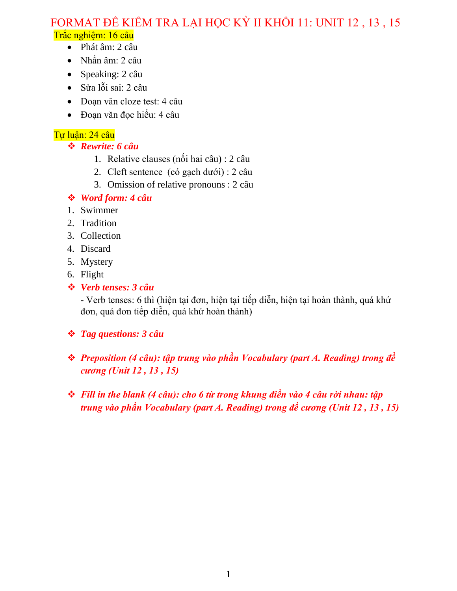# FORMAT ĐỀ KIỂM TRA LẠI HỌC KỪ II KHỐI 11: UNIT 12, 13, 15 Trắc nghiệm: 16 câu

- Phát âm: 2 câu
- Nhấn âm: 2 câu
- Speaking: 2 câu
- Sửa lỗi sai: 2 câu
- Đoạn văn cloze test: 4 câu
- Đoạn văn đọc hiểu: 4 câu

# Tự luận: 24 câu

- *Rewrite: 6 câu*
	- 1. Relative clauses (nối hai câu) : 2 câu
	- 2. Cleft sentence (có gạch dưới) : 2 câu
	- 3. Omission of relative pronouns : 2 câu

# *Word form: 4 câu*

- 1. Swimmer
- 2. Tradition
- 3. Collection
- 4. Discard
- 5. Mystery
- 6. Flight
- *Verb tenses: 3 câu*

- Verb tenses: 6 thì (hiện tại đơn, hiện tại tiếp diễn, hiện tại hoàn thành, quá khứ đơn, quá đơn tiếp diễn, quá khứ hoàn thành)

- *Tag questions: 3 câu*
- *Preposition (4 câu): tập trung vào phần Vocabulary (part A. Reading) trong đề cương (Unit 12 , 13 , 15)*
- *Fill in the blank (4 câu): cho 6 từ trong khung điền vào 4 câu rời nhau: tập trung vào phần Vocabulary (part A. Reading) trong đề cương (Unit 12 , 13 , 15)*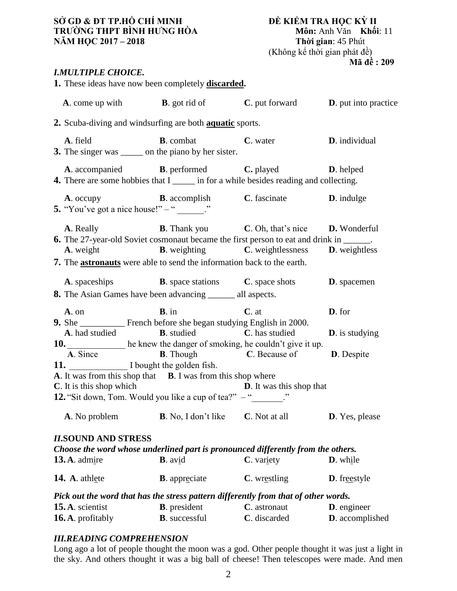# **SỞ GD & ĐT TP.HỒ CHÍ MINH ĐỀ KIỂM TRA HỌC KỲ II TRƯỜNG THPT BÌNH HƯNG HÒA Môn:** Anh Văn **K**hối<br> **NĂM HỌC 2017 – 2018 Thời gian**: 45 Phút **NĂM HỌC 2017 – 2018**

# (Không kể thời gian phát đề) **Mã đề : 209**

### *I.MULTIPLE CHOICE.*

|                                              |                                   | 1. These ideas have now been completely <b>discarded</b> .                                                                                                               |                                                                                                                                                                                                                                                                     |                                  |
|----------------------------------------------|-----------------------------------|--------------------------------------------------------------------------------------------------------------------------------------------------------------------------|---------------------------------------------------------------------------------------------------------------------------------------------------------------------------------------------------------------------------------------------------------------------|----------------------------------|
|                                              |                                   |                                                                                                                                                                          | <b>A</b> . come up with <b>B</b> . got rid of <b>C</b> . put forward <b>D</b> . put into practice                                                                                                                                                                   |                                  |
|                                              |                                   | 2. Scuba-diving and windsurfing are both <b>aquatic</b> sports.                                                                                                          |                                                                                                                                                                                                                                                                     |                                  |
| A. field                                     |                                   | <b>B</b> . combat<br>3. The singer was _______ on the piano by her sister.                                                                                               | C. water                                                                                                                                                                                                                                                            | D. individual                    |
|                                              |                                   |                                                                                                                                                                          | A. accompanied <b>B.</b> performed <b>C.</b> played <b>D.</b> helped<br>4. There are some hobbies that I ______ in for a while besides reading and collecting.                                                                                                      |                                  |
|                                              | 5. "You've got a nice house!" – " |                                                                                                                                                                          | A. occupy <b>B.</b> accomplish <b>C.</b> fascinate <b>D.</b> indulge                                                                                                                                                                                                |                                  |
|                                              |                                   | 7. The <b>astronauts</b> were able to send the information back to the earth.                                                                                            | <b>A.</b> Really <b>B.</b> Thank you <b>C.</b> Oh, that's nice <b>D.</b> Wonderful<br><b>6.</b> The 27-year-old Soviet cosmonaut became the first person to eat and drink in ______.<br>A. weight <b>B.</b> weighting <b>C.</b> weightlessness <b>D.</b> weightless |                                  |
|                                              |                                   | <b>A.</b> spaceships <b>B.</b> space stations <b>C.</b> space shots<br><b>8.</b> The Asian Games have been advancing _______ all aspects.                                |                                                                                                                                                                                                                                                                     | <b>D</b> . spacemen              |
| A. on                                        | A. had studied                    | $B$ . in<br>9. She __________ French before she began studying English in 2000.<br><b>B</b> . studied <b>C</b> . has studied                                             | $C.$ at                                                                                                                                                                                                                                                             | D. for<br><b>D</b> . is studying |
| C. It is this shop which                     | A. Since                          | 10. he knew the danger of smoking, he couldn't give it up.<br>11. I bought the golden fish.<br><b>A.</b> It was from this shop that <b>B.</b> I was from this shop where | <b>B</b> . Though <b>C</b> . Because of<br><b>D</b> . It was this shop that                                                                                                                                                                                         | <b>D</b> . Despite               |
|                                              |                                   | <b>12.</b> "Sit down, Tom. Would you like a cup of tea?" - "<br><b>A.</b> No problem <b>B.</b> No, I don't like <b>C.</b> Not at all                                     |                                                                                                                                                                                                                                                                     | D. Yes, please                   |
| $13. A.$ admire                              | <b>II.SOUND AND STRESS</b>        | $B$ . avid                                                                                                                                                               | Choose the word whose underlined part is pronounced differently from the others.<br>C. variety                                                                                                                                                                      | D. while                         |
| 14. A. athlete                               |                                   | <b>B</b> . appreciate                                                                                                                                                    | <b>C.</b> wrestling                                                                                                                                                                                                                                                 | <b>D</b> . freestyle             |
| 15. A. scientist<br><b>16. A.</b> profitably |                                   | <b>B</b> . president                                                                                                                                                     | Pick out the word that has the stress pattern differently from that of other words.<br>C. astronaut                                                                                                                                                                 | <b>D</b> . engineer              |

# *III.READING COMPREHENSION*

Long ago a lot of people thought the moon was a god. Other people thought it was just a light in the sky. And others thought it was a big ball of cheese! Then telescopes were made. And men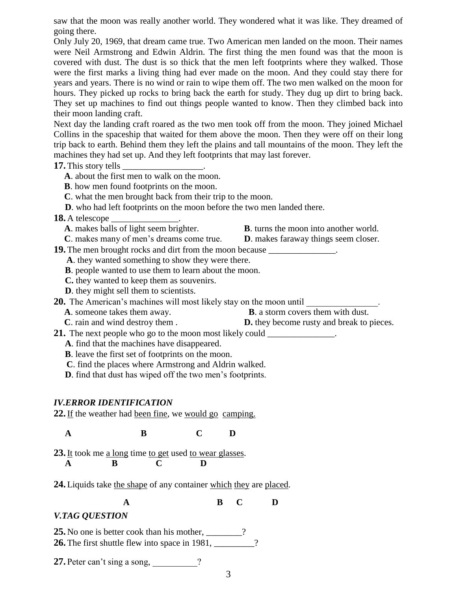saw that the moon was really another world. They wondered what it was like. They dreamed of going there.

Only July 20, 1969, that dream came true. Two American men landed on the moon. Their names were Neil Armstrong and Edwin Aldrin. The first thing the men found was that the moon is covered with dust. The dust is so thick that the men left footprints where they walked. Those were the first marks a living thing had ever made on the moon. And they could stay there for years and years. There is no wind or rain to wipe them off. The two men walked on the moon for hours. They picked up rocks to bring back the earth for study. They dug up dirt to bring back. They set up machines to find out things people wanted to know. Then they climbed back into their moon landing craft.

Next day the landing craft roared as the two men took off from the moon. They joined Michael Collins in the spaceship that waited for them above the moon. Then they were off on their long trip back to earth. Behind them they left the plains and tall mountains of the moon. They left the machines they had set up. And they left footprints that may last forever.

#### **17.** This story tells

- **A**. about the first men to walk on the moon.
- **B**. how men found footprints on the moon.
- **C**. what the men brought back from their trip to the moon.
- **D**. who had left footprints on the moon before the two men landed there.

#### **18.** A telescope

- 
- **A**. makes balls of light seem brighter. **B**. turns the moon into another world.
- **C**. makes many of men's dreams come true. **D**. makes faraway things seem closer.

**19.** The men brought rocks and dirt from the moon because

**A**. they wanted something to show they were there.

**B**. people wanted to use them to learn about the moon.

- **C.** they wanted to keep them as souvenirs.
- **D**. they might sell them to scientists.

**20.** The American's machines will most likely stay on the moon until \_\_\_\_\_\_\_\_\_\_\_

- **A**. someone takes them away. **B**. a storm covers them with dust.
	- **C**. rain and wind destroy them . **D.** they become rusty and break to pieces.

**21.** The next people who go to the moon most likely could

- **A**. find that the machines have disappeared.
- **B**. leave the first set of footprints on the moon.
- **C**. find the places where Armstrong and Aldrin walked.
- **D**. find that dust has wiped off the two men's footprints.

#### *IV.ERROR IDENTIFICATION*

**22.** If the weather had been fine, we would go camping.

 **A B C D**

**23.**It took me a long time to get used to wear glasses.  **A B C D**

**24.**Liquids take the shape of any container which they are placed.

 **A B C D**

### *V.TAG QUESTION*

**25.** No one is better cook than his mother, \_\_\_\_\_\_\_\_? **26.**The first shuttle flew into space in 1981, \_\_\_\_\_\_\_\_\_?

**27.** Peter can't sing a song,  $\binom{2}{3}$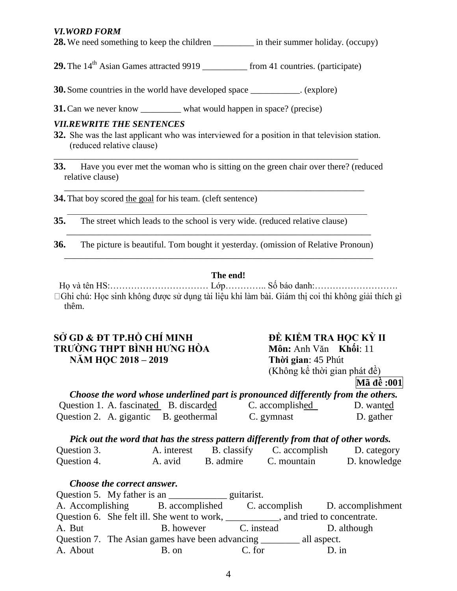### *VI.WORD FORM*

**28.** We need something to keep the children \_\_\_\_\_\_\_\_\_\_ in their summer holiday. (occupy)

**29.** The 14<sup>th</sup> Asian Games attracted 9919 from 41 countries. (participate)

**30.** Some countries in the world have developed space \_\_\_\_\_\_\_\_\_\_\_. (explore)

**31.** Can we never know \_\_\_\_\_\_\_\_\_ what would happen in space? (precise)

#### *VII.REWRITE THE SENTENCES*

**32.** She was the last applicant who was interviewed for a position in that television station. (reduced relative clause)

\_\_\_\_\_\_\_\_\_\_\_\_\_\_\_\_\_\_\_\_\_\_\_\_\_\_\_\_\_\_\_\_\_\_\_\_\_\_\_\_\_\_\_\_\_\_\_\_\_\_\_\_\_\_\_\_\_\_\_\_\_\_\_\_\_\_\_\_

**33.** Have you ever met the woman who is sitting on the green chair over there? (reduced relative clause)

\_\_\_\_\_\_\_\_\_\_\_\_\_\_\_\_\_\_\_\_\_\_\_\_\_\_\_\_\_\_\_\_\_\_\_\_\_\_\_\_\_\_\_\_\_\_\_\_\_\_\_\_\_\_\_\_\_\_\_\_\_\_\_\_\_\_\_

 $\mathcal{L}_\mathcal{L} = \{ \mathcal{L}_\mathcal{L} = \{ \mathcal{L}_\mathcal{L} = \{ \mathcal{L}_\mathcal{L} = \{ \mathcal{L}_\mathcal{L} = \{ \mathcal{L}_\mathcal{L} = \{ \mathcal{L}_\mathcal{L} = \{ \mathcal{L}_\mathcal{L} = \{ \mathcal{L}_\mathcal{L} = \{ \mathcal{L}_\mathcal{L} = \{ \mathcal{L}_\mathcal{L} = \{ \mathcal{L}_\mathcal{L} = \{ \mathcal{L}_\mathcal{L} = \{ \mathcal{L}_\mathcal{L} = \{ \mathcal{L}_\mathcal{$ 

\_\_\_\_\_\_\_\_\_\_\_\_\_\_\_\_\_\_\_\_\_\_\_\_\_\_\_\_\_\_\_\_\_\_\_\_\_\_\_\_\_\_\_\_\_\_\_\_\_\_\_\_\_\_\_\_\_\_\_\_\_\_\_\_\_\_\_\_

\_\_\_\_\_\_\_\_\_\_\_\_\_\_\_\_\_\_\_\_\_\_\_\_\_\_\_\_\_\_\_\_\_\_\_\_\_\_\_\_\_\_\_\_\_\_\_\_\_\_\_\_\_\_\_\_\_\_\_\_\_\_\_\_\_\_\_\_\_

**34.**That boy scored the goal for his team. (cleft sentence)

- **35.** The street which leads to the school is very wide. (reduced relative clause)
- **36.** The picture is beautiful. Tom bought it yesterday. (omission of Relative Pronoun)

### **The end!**

Họ và tên HS:…………………………… Lớp………….. Số báo danh:………………………. □ Ghi chú: Học sinh không được sử dụng tài liệu khi làm bài. Giám thị coi thi không giải thích gì thêm.

# **SỞ GD & ĐT TP.HỒ CHÍ MINH ĐỀ KIỂM TRA HỌC KỲ II TRƯỜNG THPT BÌNH HƯNG HÒA Môn:** Anh Văn **Khối**: 11 **NĂM HỌC 2018 – 2019 Thời gian**: 45 Phút

(Không kể thời gian phát đề)

# **Mã đề :001**

|                                        | Choose the word whose underlined part is pronounced differently from the others. |           |
|----------------------------------------|----------------------------------------------------------------------------------|-----------|
| Question 1. A. fascinated B. discarded | C. accomplished                                                                  | D. wanted |
| Question 2. A. gigantic B. geothermal  | C. gymnast                                                                       | D. gather |

*Pick out the word that has the stress pattern differently from that of other words.*

| Question 3. | A. interest | B. classify | C. accomplish | D. category  |
|-------------|-------------|-------------|---------------|--------------|
| Question 4. | A. avid     | B. admire   | C. mountain   | D. knowledge |

### *Choose the correct answer.*

Question 5. My father is an <u>equitarist</u>. A. Accomplishing B. accomplished C. accomplish D. accomplishment Question 6. She felt ill. She went to work, \_\_\_\_\_\_\_\_\_\_\_, and tried to concentrate. A. But B. however C. instead D. although Question 7. The Asian games have been advancing \_\_\_\_\_\_\_\_ all aspect. A. About B. on C. for D. in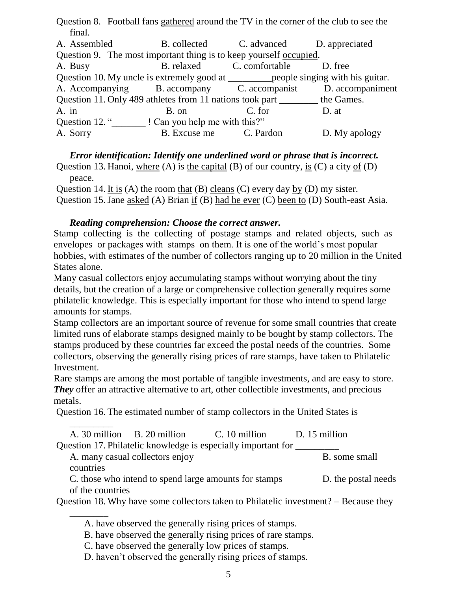Question 8. Football fans gathered around the TV in the corner of the club to see the final.

| A. Assembled                                                                           |                               | B. collected C. advanced D. appreciated |                                                              |
|----------------------------------------------------------------------------------------|-------------------------------|-----------------------------------------|--------------------------------------------------------------|
| Question 9. The most important thing is to keep yourself occupied.                     |                               |                                         |                                                              |
| A. Busy                                                                                |                               | B. relaxed C. comfortable               | D. free                                                      |
| Question 10. My uncle is extremely good at ___________ people singing with his guitar. |                               |                                         |                                                              |
|                                                                                        |                               |                                         | A. Accompanying B. accompany C. accompanist D. accompaniment |
| Question 11. Only 489 athletes from 11 nations took part _________ the Games.          |                               |                                         |                                                              |
| A. in                                                                                  | B. on                         | C. for                                  | D. at                                                        |
| Question 12."                                                                          | ! Can you help me with this?" |                                         |                                                              |
| A. Sorry                                                                               | B. Excuse me C. Pardon        |                                         | D. My apology                                                |

*Error identification: Identify one underlined word or phrase that is incorrect.* Question 13. Hanoi, where (A) is the capital (B) of our country, is (C) a city of (D) peace.

Question 14. It is (A) the room that (B) cleans (C) every day by (D) my sister. Question 15.Jane asked (A) Brian if (B) had he ever (C) been to (D) South-east Asia.

# *Reading comprehension: Choose the correct answer.*

Stamp collecting is the collecting of postage stamps and related objects, such as envelopes or packages with stamps on them. It is one of the world's most popular hobbies, with estimates of the number of collectors ranging up to 20 million in the United States alone.

Many casual collectors enjoy accumulating stamps without worrying about the tiny details, but the creation of a large or comprehensive collection generally requires some philatelic knowledge. This is especially important for those who intend to spend large amounts for stamps.

Stamp collectors are an important source of revenue for some small countries that create limited runs of elaborate stamps designed mainly to be bought by stamp collectors. The stamps produced by these countries far exceed the postal needs of the countries. Some collectors, observing the generally rising prices of rare stamps, have taken to Philatelic Investment.

Rare stamps are among the most portable of tangible investments, and are easy to store. *They* offer an attractive alternative to art, other collectible investments, and precious metals.

Question 16. The estimated number of stamp collectors in the United States is

|                             |                                 | A. 30 million B. 20 million C. 10 million D. 15 million                  |                     |
|-----------------------------|---------------------------------|--------------------------------------------------------------------------|---------------------|
|                             |                                 | Question 17. Philatelic knowledge is especially important for __________ |                     |
|                             | A. many casual collectors enjoy |                                                                          | B. some small       |
| countries                   |                                 |                                                                          |                     |
|                             |                                 | C, those who intend to spend large amounts for stamps                    | D. the postal needs |
| of the countries            |                                 |                                                                          |                     |
| $\bigcap$ $\bigcup$ 10 WI 1 |                                 |                                                                          |                     |

Question 18. Why have some collectors taken to Philatelic investment? – Because they

A. have observed the generally rising prices of stamps.

B. have observed the generally rising prices of rare stamps.

C. have observed the generally low prices of stamps.

\_\_\_\_\_\_\_\_

D. haven't observed the generally rising prices of stamps.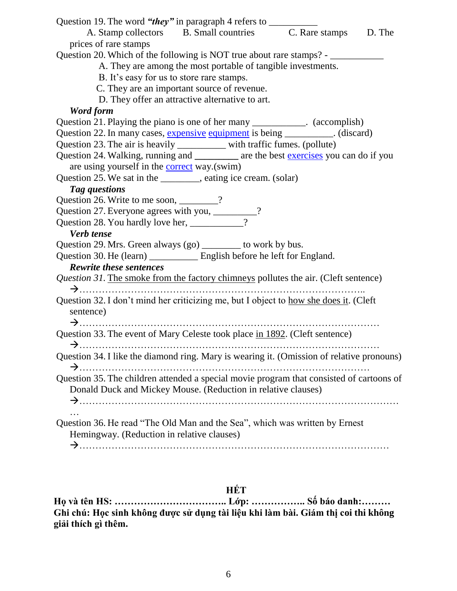| Question 19. The word "they" in paragraph 4 refers to __________                          |
|-------------------------------------------------------------------------------------------|
| A. Stamp collectors B. Small countries C. Rare stamps D. The                              |
| prices of rare stamps                                                                     |
| Question 20. Which of the following is NOT true about rare stamps? - ___________          |
| A. They are among the most portable of tangible investments.                              |
| B. It's easy for us to store rare stamps.                                                 |
| C. They are an important source of revenue.                                               |
| D. They offer an attractive alternative to art.                                           |
| Word form                                                                                 |
| Question 21. Playing the piano is one of her many ___________. (accomplish)               |
| Question 22. In many cases, expensive equipment is being _________. (discard)             |
| Question 23. The air is heavily __________ with traffic fumes. (pollute)                  |
| Question 24. Walking, running and ___________ are the best exercises you can do if you    |
| are using yourself in the <b>correct</b> way.(swim)                                       |
| Question 25. We sat in the ________, eating ice cream. (solar)                            |
| Tag questions                                                                             |
| Question 26. Write to me soon, _______?                                                   |
| Question 27. Everyone agrees with you, __________                                         |
|                                                                                           |
| Verb tense                                                                                |
| Question 29. Mrs. Green always (go) _______ to work by bus.                               |
| Question 30. He (learn) _______________ English before he left for England.               |
| <b>Rewrite these sentences</b>                                                            |
| Question 31. The smoke from the factory chimneys pollutes the air. (Cleft sentence)       |
|                                                                                           |
| Question 32. I don't mind her criticizing me, but I object to how she does it. (Cleft     |
| sentence)                                                                                 |
|                                                                                           |
| Question 33. The event of Mary Celeste took place in 1892. (Cleft sentence)               |
|                                                                                           |
| Question 34. I like the diamond ring. Mary is wearing it. (Omission of relative pronouns) |
| Question 35. The children attended a special movie program that consisted of cartoons of  |
| Donald Duck and Mickey Mouse. (Reduction in relative clauses)                             |
|                                                                                           |
|                                                                                           |
| Question 36. He read "The Old Man and the Sea", which was written by Ernest               |
| Hemingway. (Reduction in relative clauses)                                                |
|                                                                                           |
|                                                                                           |

# **HẾT**

**Họ và tên HS: …………………………….. Lớp: …………….. Số báo danh:……… Ghi chú: Học sinh không được sử dụng tài liệu khi làm bài. Giám thị coi thi không giải thích gì thêm.**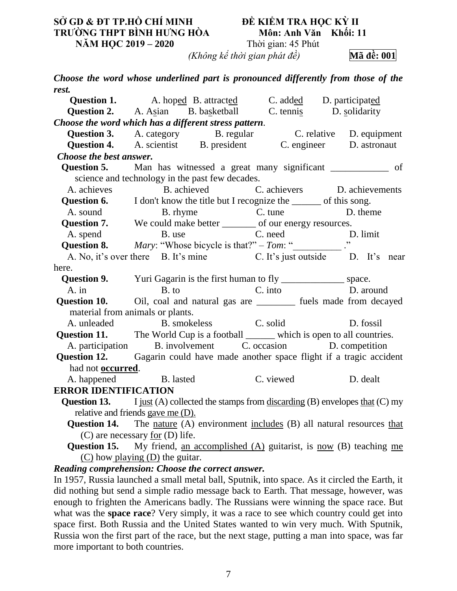# **SỞ GD & ĐT TP.HỒ CHÍ MINH ĐỀ KIỂM TRA HỌC KỲ II TRƯỜNG THPT BÌNH HƯNG HÒA Môn: Anh Văn Khối: 11 NĂM HỌC 2019 – 2020** Thời gian: 45 Phút

*(Không kể thời gian phát đề)* **Mã đề: 001**

*Choose the word whose underlined part is pronounced differently from those of the rest.* 

|                             | <b>Question 1.</b> A. hoped B. attracted C. added D. participated                                          |                           |  |
|-----------------------------|------------------------------------------------------------------------------------------------------------|---------------------------|--|
|                             | <b>Question 2.</b> A. Asian B. basketball C. tennis D. solidarity                                          |                           |  |
|                             | Choose the word which has a different stress pattern.                                                      |                           |  |
|                             | Question 3. A. category B. regular C. relative D. equipment                                                |                           |  |
|                             | Question 4. A. scientist B. president C. engineer D. astronaut                                             |                           |  |
| Choose the best answer.     |                                                                                                            |                           |  |
|                             | <b>Question 5.</b> Man has witnessed a great many significant ______________ of                            |                           |  |
|                             | science and technology in the past few decades.                                                            |                           |  |
|                             | A. achieves B. achieved C. achievers D. achievements                                                       |                           |  |
|                             | <b>Question 6.</b> I don't know the title but I recognize the ______ of this song.                         |                           |  |
| A. sound                    |                                                                                                            | B. rhyme C. tune D. theme |  |
|                             | Question 7. We could make better _______ of our energy resources.                                          |                           |  |
|                             |                                                                                                            |                           |  |
|                             |                                                                                                            |                           |  |
|                             | A. No, it's over there B. It's mine C. It's just outside D. It's near                                      |                           |  |
| here.                       |                                                                                                            |                           |  |
|                             | <b>Question 9.</b> Yuri Gagarin is the first human to fly ___________________ space.                       |                           |  |
|                             | A. in B. to C. into D. around Question 10. Oil, coal and natural gas are _________ fuels made from decayed |                           |  |
|                             |                                                                                                            |                           |  |
|                             | material from animals or plants.                                                                           |                           |  |
|                             | A. unleaded B. smokeless C. solid D. fossil                                                                |                           |  |
|                             | <b>Question 11.</b> The World Cup is a football _______ which is open to all countries.                    |                           |  |
|                             | A. participation B. involvement C. occasion D. competition                                                 |                           |  |
|                             | Question 12. Gagarin could have made another space flight if a tragic accident                             |                           |  |
| had not <b>occurred</b> .   |                                                                                                            |                           |  |
|                             | A. happened B. lasted<br>C. viewed                                                                         | D. dealt                  |  |
| <b>ERROR IDENTIFICATION</b> |                                                                                                            |                           |  |
|                             | <b>Question 13.</b> I just (A) collected the stamps from discarding (B) envelopes that $(C)$ my            |                           |  |
|                             | relative and friends gave me (D).                                                                          |                           |  |
|                             | Question 14. The nature (A) environment includes (B) all natural resources that                            |                           |  |
|                             | $(C)$ are necessary for $(D)$ life.                                                                        |                           |  |
|                             | Q                                                                                                          |                           |  |

**Question 15.** My friend, an accomplished (A) guitarist, is now (B) teaching me  $(C)$  how playing  $(D)$  the guitar.

*Reading comprehension: Choose the correct answer.*

In 1957, Russia launched a small metal ball, Sputnik, into space. As it circled the Earth, it did nothing but send a simple radio message back to Earth. That message, however, was enough to frighten the Americans badly. The Russians were winning the space race. But what was the **space race**? Very simply, it was a race to see which country could get into space first. Both Russia and the United States wanted to win very much. With Sputnik, Russia won the first part of the race, but the next stage, putting a man into space, was far more important to both countries.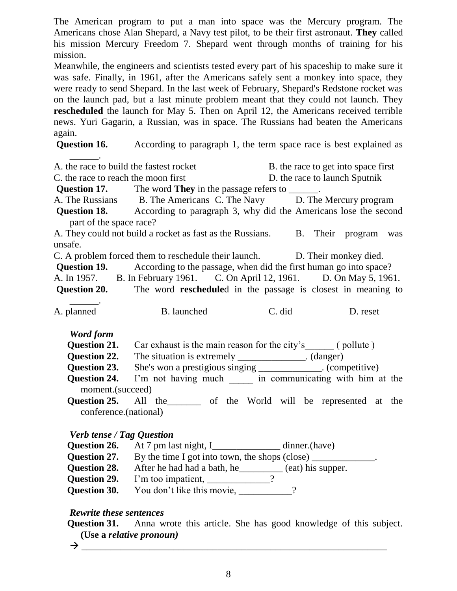The American program to put a man into space was the Mercury program. The Americans chose Alan Shepard, a Navy test pilot, to be their first astronaut. **They** called his mission Mercury Freedom 7. Shepard went through months of training for his mission.

Meanwhile, the engineers and scientists tested every part of his spaceship to make sure it was safe. Finally, in 1961, after the Americans safely sent a monkey into space, they were ready to send Shepard. In the last week of February, Shepard's Redstone rocket was on the launch pad, but a last minute problem meant that they could not launch. They **rescheduled** the launch for May 5. Then on April 12, the Americans received terrible news. Yuri Gagarin, a Russian, was in space. The Russians had beaten the Americans again.

**Question 16.** According to paragraph 1, the term space race is best explained as

| A, the race to build the fastest rocket |                                                                                       | B. the race to get into space first |  |  |
|-----------------------------------------|---------------------------------------------------------------------------------------|-------------------------------------|--|--|
| C. the race to reach the moon first     |                                                                                       | D. the race to launch Sputnik       |  |  |
|                                         | <b>Question 17.</b> The word <b>They</b> in the passage refers to _______.            |                                     |  |  |
|                                         | A. The Russians B. The Americans C. The Navy D. The Mercury program                   |                                     |  |  |
| part of the space race?                 | <b>Question 18.</b> According to paragraph 3, why did the Americans lose the second   |                                     |  |  |
| unsafe.                                 | A. They could not build a rocket as fast as the Russians. B. Their program was        |                                     |  |  |
|                                         | C. A problem forced them to reschedule their launch. D. Their monkey died.            |                                     |  |  |
|                                         | <b>Question 19.</b> According to the passage, when did the first human go into space? |                                     |  |  |
|                                         | A. In 1957. B. In February 1961. C. On April 12, 1961. D. On May 5, 1961.             |                                     |  |  |
|                                         | Question 20. The word rescheduled in the passage is closest in meaning to             |                                     |  |  |
|                                         |                                                                                       |                                     |  |  |
| A. planned                              | B. launched                                                                           | C. did<br>D. reset                  |  |  |
|                                         |                                                                                       |                                     |  |  |
| Word form                               |                                                                                       |                                     |  |  |
|                                         | <b>Question 21.</b> Car exhaust is the main reason for the city's (pollute)           |                                     |  |  |
|                                         | Question 22. The situation is extremely _____________. (danger)                       |                                     |  |  |
| Question 23.                            | She's won a prestigious singing ______________. (competitive)                         |                                     |  |  |
| <b>Question 24.</b>                     | I'm not having much ______ in communicating with him at the                           |                                     |  |  |
| moment.(succeed)                        |                                                                                       |                                     |  |  |
|                                         | <b>Question 25.</b> All the same of the World will be represented at the              |                                     |  |  |
| conference.(national)                   |                                                                                       |                                     |  |  |
|                                         |                                                                                       |                                     |  |  |
| <b>Verb tense / Tag Question</b>        |                                                                                       |                                     |  |  |
|                                         | Question 26. At 7 pm last night, I_____________ dinner.(have)                         |                                     |  |  |
|                                         | <b>Question 27.</b> By the time I got into town, the shops (close) ____________.      |                                     |  |  |
|                                         | <b>Question 28.</b> After he had had a bath, he________ (eat) his supper.             |                                     |  |  |
| Question 29.                            | I'm too impatient, _____________?                                                     |                                     |  |  |

**Question 30.** You don't like this movie,

# *Rewrite these sentences*

**Question 31.** Anna wrote this article. She has good knowledge of this subject. **(Use a** *relative pronoun)*

\_\_\_\_\_\_\_\_\_\_\_\_\_\_\_\_\_\_\_\_\_\_\_\_\_\_\_\_\_\_\_\_\_\_\_\_\_\_\_\_\_\_\_\_\_\_\_\_\_\_\_\_\_\_\_\_\_\_\_\_\_\_\_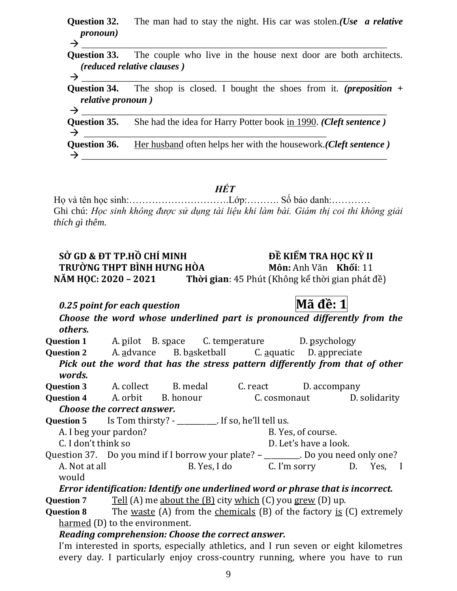**Question 32.** The man had to stay the night. His car was stolen.*(Use a relative pronoun)* \_\_\_\_\_\_\_\_\_\_\_\_\_\_\_\_\_\_\_\_\_\_\_\_\_\_\_\_\_\_\_\_\_\_\_\_\_\_\_\_\_\_\_\_\_\_\_\_\_\_\_\_\_\_\_\_\_\_\_\_\_\_\_

**Question 33.** The couple who live in the house next door are both architects. *(reduced relative clauses )*

 \_\_\_\_\_\_\_\_\_\_\_\_\_\_\_\_\_\_\_\_\_\_\_\_\_\_\_\_\_\_\_\_\_\_\_\_\_\_\_\_\_\_\_\_\_\_\_\_\_\_\_\_\_\_\_\_\_\_\_\_\_\_\_ **Question 34.** The shop is closed. I bought the shoes from it. *(preposition + relative pronoun )*

 \_\_\_\_\_\_\_\_\_\_\_\_\_\_\_\_\_\_\_\_\_\_\_\_\_\_\_\_\_\_\_\_\_\_\_\_\_\_\_\_\_\_\_\_\_\_\_\_\_\_\_\_\_\_\_\_\_\_\_\_\_\_\_ **Question 35.** She had the idea for Harry Potter book in 1990. *(Cleft sentence )*  $\rightarrow$ **Question 36.** Her husband often helps her with the housework.*(Cleft sentence )*  $\rightarrow$ 

*HẾT*

Họ và tên học sinh:………………………….Lớp:………. Số báo danh:………… Ghi chú: *Học sinh không được sử dụng tài liệu khi làm bài. Giám thị coi thi không giải thích gì thêm.*

# **SỞ GD & ĐT TP.HỒ CHÍ MINH ĐỀ KIỂM TRA HỌC KỲ II TRƯỜNG THPT BÌNH HƯNG HÒA Môn:** Anh Văn **Khối**: 11 **NĂM HỌC: 2020 – 2021 Thời gian**: 45 Phút (Không kể thời gian phát đề)

*0.25 point for each question* **Mã đề: 1**

*Choose the word whose underlined part is pronounced differently from the others.* **Question 1** A. pilot B. space C. temperature D. psychology **Question 2** A. advance B. basketball C. aquatic D. appreciate *Pick out the word that has the stress pattern differently from that of other words.* **Question 3** A. collect B. medal C. react D. accompany **Question 4** A. orbit B. honour C. cosmonaut D. solidarity *Choose the correct answer.*  Question 5 Is Tom thirsty? - \_\_\_\_\_\_\_\_\_. If so, he'll tell us. A. I beg your pardon? B. Yes, of course. C. I don't think so D. Let's have a look. Question 37. Do you mind if I borrow your plate? - \_\_\_\_\_\_\_. Do you need only one? A. Not at all B. Yes, I do C. I'm sorry D. Yes, I would *Error identification: Identify one underlined word or phrase that is incorrect.*

**Question 7** Tell (A) me about the (B) city which (C) you grew (D) up.

**Question 8** The waste (A) from the chemicals (B) of the factory is (C) extremely harmed (D) to the environment.

# *Reading comprehension: Choose the correct answer.*

I'm interested in sports, especially athletics, and I run seven or eight kilometres every day. I particularly enjoy cross-country running, where you have to run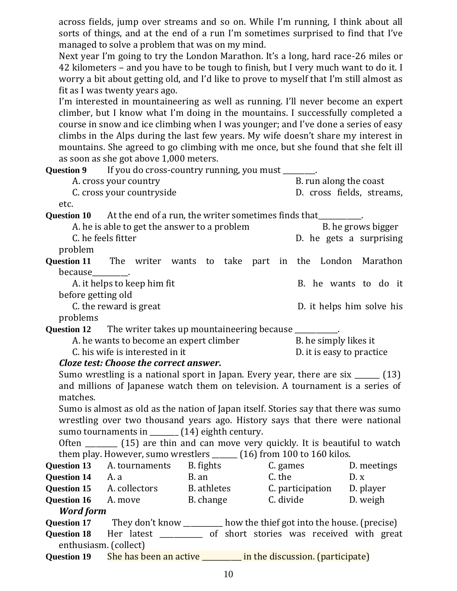across fields, jump over streams and so on. While I'm running, I think about all sorts of things, and at the end of a run I'm sometimes surprised to find that I've managed to solve a problem that was on my mind.

Next year I'm going to try the London Marathon. It's a long, hard race-26 miles or 42 kilometers – and you have to be tough to finish, but I very much want to do it. I worry a bit about getting old, and I'd like to prove to myself that I'm still almost as fit as I was twenty years ago.

I'm interested in mountaineering as well as running. I'll never become an expert climber, but I know what I'm doing in the mountains. I successfully completed a course in snow and ice climbing when I was younger; and I've done a series of easy climbs in the Alps during the last few years. My wife doesn't share my interest in mountains. She agreed to go climbing with me once, but she found that she felt ill as soon as she got above 1,000 meters.

|                                                                                              |                                              | <b>Question 9</b> If you do cross-country running, you must _______.                 |                        |                           |
|----------------------------------------------------------------------------------------------|----------------------------------------------|--------------------------------------------------------------------------------------|------------------------|---------------------------|
| A. cross your country                                                                        |                                              |                                                                                      | B. run along the coast |                           |
| C. cross your countryside                                                                    |                                              |                                                                                      |                        | D. cross fields, streams, |
| etc.                                                                                         |                                              |                                                                                      |                        |                           |
|                                                                                              |                                              | <b>Question 10</b> At the end of a run, the writer sometimes finds that_________.    |                        |                           |
|                                                                                              | A. he is able to get the answer to a problem |                                                                                      |                        | B. he grows bigger        |
|                                                                                              | C. he feels fitter                           |                                                                                      |                        | D. he gets a surprising   |
| problem                                                                                      |                                              |                                                                                      |                        |                           |
|                                                                                              |                                              | <b>Question 11</b> The writer wants to take part in the London Marathon              |                        |                           |
| because__________                                                                            |                                              |                                                                                      |                        |                           |
|                                                                                              | A. it helps to keep him fit                  |                                                                                      |                        | B. he wants to do it      |
| before getting old                                                                           |                                              |                                                                                      |                        |                           |
|                                                                                              | C. the reward is great                       |                                                                                      |                        | D. it helps him solve his |
| problems                                                                                     |                                              |                                                                                      |                        |                           |
|                                                                                              |                                              | Question 12 The writer takes up mountaineering because _________.                    |                        |                           |
|                                                                                              | A. he wants to become an expert climber      |                                                                                      | B. he simply likes it  |                           |
| C. his wife is interested in it<br>D. it is easy to practice                                 |                                              |                                                                                      |                        |                           |
| Cloze test: Choose the correct answer.                                                       |                                              |                                                                                      |                        |                           |
| Sumo wrestling is a national sport in Japan. Every year, there are six $\frac{1}{\sqrt{13}}$ |                                              |                                                                                      |                        |                           |
| and millions of Japanese watch them on television. A tournament is a series of               |                                              |                                                                                      |                        |                           |
| matches.                                                                                     |                                              |                                                                                      |                        |                           |
|                                                                                              |                                              | Sumo is almost as old as the nation of Japan itself. Stories say that there was sumo |                        |                           |
|                                                                                              |                                              | wrestling over two thousand years ago. History says that there were national         |                        |                           |
|                                                                                              |                                              | sumo tournaments in ______ (14) eighth century.                                      |                        |                           |
|                                                                                              |                                              | Often _________ (15) are thin and can move very quickly. It is beautiful to watch    |                        |                           |
|                                                                                              |                                              | them play. However, sumo wrestlers ______ (16) from 100 to 160 kilos.                |                        |                           |
|                                                                                              | <b>Question 13</b> A. tournaments            | B. fights C. games                                                                   |                        | D. meetings               |
| <b>Question 14</b> A. a                                                                      |                                              | <b>C.</b> the<br>B. an                                                               |                        | D. x                      |
|                                                                                              |                                              | <b>Question 15</b> A. collectors B. athletes C. participation D. player              |                        |                           |
|                                                                                              |                                              | <b>Question 16</b> A. move B. change C. divide D. weigh                              |                        |                           |
| <b>Word form</b>                                                                             |                                              |                                                                                      |                        |                           |
|                                                                                              |                                              | Question 17 They don't know _______ how the thief got into the house. (precise)      |                        |                           |
| <b>Question 18</b>                                                                           |                                              | Her latest ___________ of short stories was received with great                      |                        |                           |
| enthusiasm. (collect)                                                                        |                                              |                                                                                      |                        |                           |
| Question 19                                                                                  |                                              | She has been an active _______ in the discussion. (participate)                      |                        |                           |